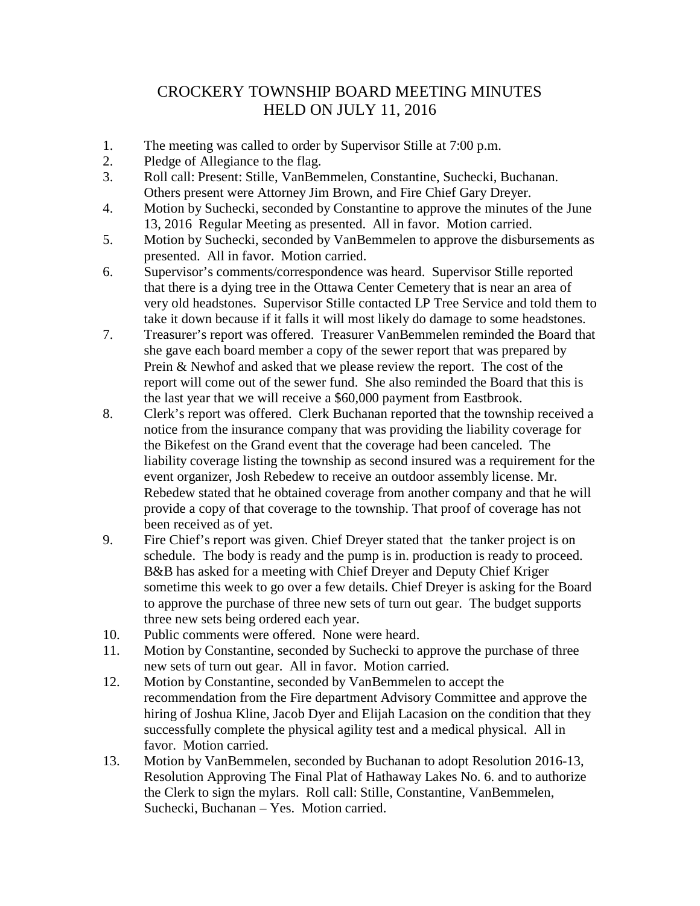## CROCKERY TOWNSHIP BOARD MEETING MINUTES HELD ON JULY 11, 2016

- 1. The meeting was called to order by Supervisor Stille at 7:00 p.m.
- 2. Pledge of Allegiance to the flag.
- 3. Roll call: Present: Stille, VanBemmelen, Constantine, Suchecki, Buchanan. Others present were Attorney Jim Brown, and Fire Chief Gary Dreyer.
- 4. Motion by Suchecki, seconded by Constantine to approve the minutes of the June 13, 2016 Regular Meeting as presented. All in favor. Motion carried.
- 5. Motion by Suchecki, seconded by VanBemmelen to approve the disbursements as presented. All in favor. Motion carried.
- 6. Supervisor's comments/correspondence was heard. Supervisor Stille reported that there is a dying tree in the Ottawa Center Cemetery that is near an area of very old headstones. Supervisor Stille contacted LP Tree Service and told them to take it down because if it falls it will most likely do damage to some headstones.
- 7. Treasurer's report was offered. Treasurer VanBemmelen reminded the Board that she gave each board member a copy of the sewer report that was prepared by Prein & Newhof and asked that we please review the report. The cost of the report will come out of the sewer fund. She also reminded the Board that this is the last year that we will receive a \$60,000 payment from Eastbrook.
- 8. Clerk's report was offered. Clerk Buchanan reported that the township received a notice from the insurance company that was providing the liability coverage for the Bikefest on the Grand event that the coverage had been canceled. The liability coverage listing the township as second insured was a requirement for the event organizer, Josh Rebedew to receive an outdoor assembly license. Mr. Rebedew stated that he obtained coverage from another company and that he will provide a copy of that coverage to the township. That proof of coverage has not been received as of yet.
- 9. Fire Chief's report was given. Chief Dreyer stated that the tanker project is on schedule. The body is ready and the pump is in. production is ready to proceed. B&B has asked for a meeting with Chief Dreyer and Deputy Chief Kriger sometime this week to go over a few details. Chief Dreyer is asking for the Board to approve the purchase of three new sets of turn out gear. The budget supports three new sets being ordered each year.
- 10. Public comments were offered. None were heard.
- 11. Motion by Constantine, seconded by Suchecki to approve the purchase of three new sets of turn out gear. All in favor. Motion carried.
- 12. Motion by Constantine, seconded by VanBemmelen to accept the recommendation from the Fire department Advisory Committee and approve the hiring of Joshua Kline, Jacob Dyer and Elijah Lacasion on the condition that they successfully complete the physical agility test and a medical physical. All in favor. Motion carried.
- 13. Motion by VanBemmelen, seconded by Buchanan to adopt Resolution 2016-13, Resolution Approving The Final Plat of Hathaway Lakes No. 6. and to authorize the Clerk to sign the mylars. Roll call: Stille, Constantine, VanBemmelen, Suchecki, Buchanan – Yes. Motion carried.